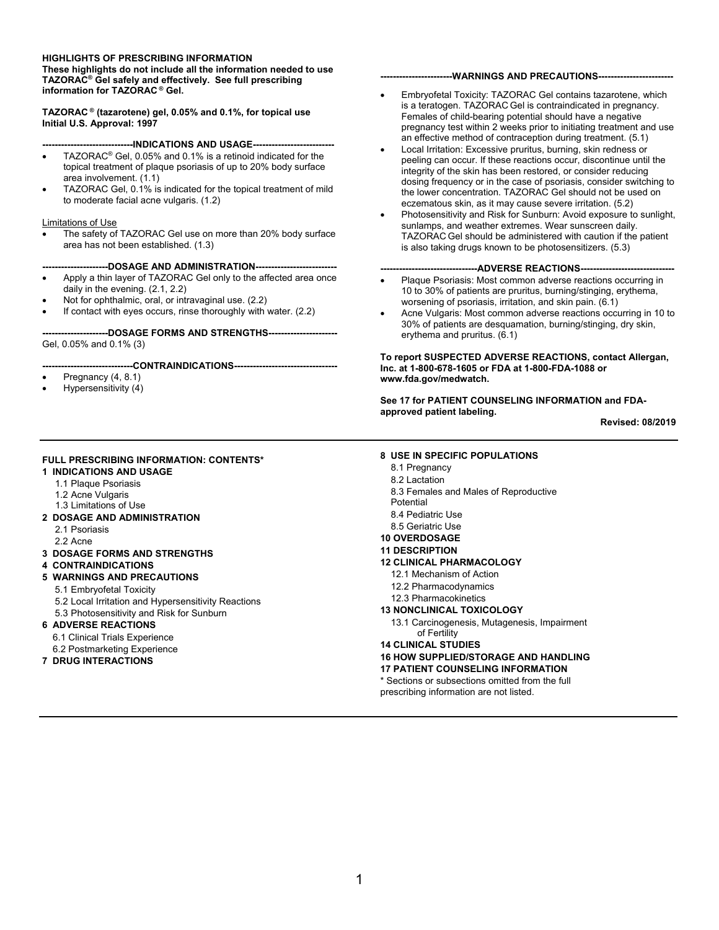#### **HIGHLIGHTS OF PRESCRIBING INFORMATION**

 **TAZORAC® Gel safely and effectively. See full prescribing These highlights do not include all the information needed to use information for TAZORAC ® Gel.** 

**TAZORAC ® (tazarotene) gel, 0.05% and 0.1%, for topical use Initial U.S. Approval: 1997** 

#### **-----------------------------INDICATIONS AND USAGE--------------------------**

- TAZORAC® Gel, 0.05% and 0.1% is a retinoid indicated for the topical treatment of plaque psoriasis of up to 20% body surface area involvement. (1.1)
- TAZORAC Gel, 0.1% is indicated for the topical treatment of mild to moderate facial acne vulgaris. (1.2)

#### Limitations of Use

 area has not been established. (1.3) The safety of TAZORAC Gel use on more than 20% body surface

 **---------------------DOSAGE AND ADMINISTRATION--------------------------**

- Apply a thin layer of TAZORAC Gel only to the affected area once daily in the evening. (2.1, 2.2)
- Not for ophthalmic, oral, or intravaginal use. (2.2)
- If contact with eyes occurs, rinse thoroughly with water. (2.2)

 Gel, 0.05% and 0.1% (3) **---------------------DOSAGE FORMS AND STRENGTHS----------------------**

#### **-----------------------------CONTRAINDICATIONS---------------------------------**

- Pregnancy  $(4, 8.1)$
- Hypersensitivity (4)

#### **FULL PRESCRIBING INFORMATION: CONTENTS\***

- **1 INDICATIONS AND USAGE**
	- 1.1 Plaque Psoriasis
	- 1.2 Acne Vulgaris
- 1.3 Limitations of Use
- **2 DOSAGE AND ADMINISTRATION**
	- 2.1 Psoriasis
	- 2.2 Acne
- **3 DOSAGE FORMS AND STRENGTHS**

#### **4 CONTRAINDICATIONS**

- **5 WARNINGS AND PRECAUTIONS** 
	- 5.1 Embryofetal Toxicity
	- 5.2 Local Irritation and Hypersensitivity Reactions
	- 5.3 Photosensitivity and Risk for Sunburn

#### **6 ADVERSE REACTIONS**

- 6.1 Clinical Trials Experience
- 6.2 Postmarketing Experience
- **7 DRUG INTERACTIONS**

#### **-----------------------WARNINGS AND PRECAUTIONS------------------------**

- an effective method of contraception during treatment. (5.1) Embryofetal Toxicity: TAZORAC Gel contains tazarotene, which is a teratogen. TAZORAC Gel is contraindicated in pregnancy. Females of child-bearing potential should have a negative pregnancy test within 2 weeks prior to initiating treatment and use
- integrity of the skin has been restored, or consider reducing Local Irritation: Excessive pruritus, burning, skin redness or peeling can occur. If these reactions occur, discontinue until the dosing frequency or in the case of psoriasis, consider switching to the lower concentration. TAZORAC Gel should not be used on eczematous skin, as it may cause severe irritation. (5.2)
- Photosensitivity and Risk for Sunburn: Avoid exposure to sunlight, sunlamps, and weather extremes. Wear sunscreen daily. TAZORAC Gel should be administered with caution if the patient is also taking drugs known to be photosensitizers. (5.3)

#### ----ADVERSE REACTIONS----

- Plaque Psoriasis: Most common adverse reactions occurring in 10 to 30% of patients are pruritus, burning/stinging, erythema, worsening of psoriasis, irritation, and skin pain. (6.1)
- Acne Vulgaris: Most common adverse reactions occurring in 10 to 30% of patients are desquamation, burning/stinging, dry skin, erythema and pruritus. (6.1)

#### **To report SUSPECTED ADVERSE REACTIONS, contact Allergan, Inc. at 1-800-678-1605 or FDA at 1-800-FDA-1088 or www.fda.gov/medwatch.**

**See 17 for PATIENT COUNSELING INFORMATION and FDAapproved patient labeling.** 

**Revised: 08/2019** 

#### **8 USE IN SPECIFIC POPULATIONS**

- 8.1 Pregnancy
- 8.2 Lactation
- 8.3 Females and Males of Reproductive
- Potential
- 8.4 Pediatric Use
- 8.5 Geriatric Use
- **10 OVERDOSAGE**

#### **11 DESCRIPTION**

- **12 CLINICAL PHARMACOLOGY** 
	- 12.1 Mechanism of Action
	- 12.2 Pharmacodynamics
	- 12.3 Pharmacokinetics

#### **13 NONCLINICAL TOXICOLOGY**

- 13.1 Carcinogenesis, Mutagenesis, Impairment of Fertility
- **14 CLINICAL STUDIES**

#### **16 HOW SUPPLIED/STORAGE AND HANDLING**

#### **17 PATIENT COUNSELING INFORMATION**

\* Sections or subsections omitted from the full prescribing information are not listed.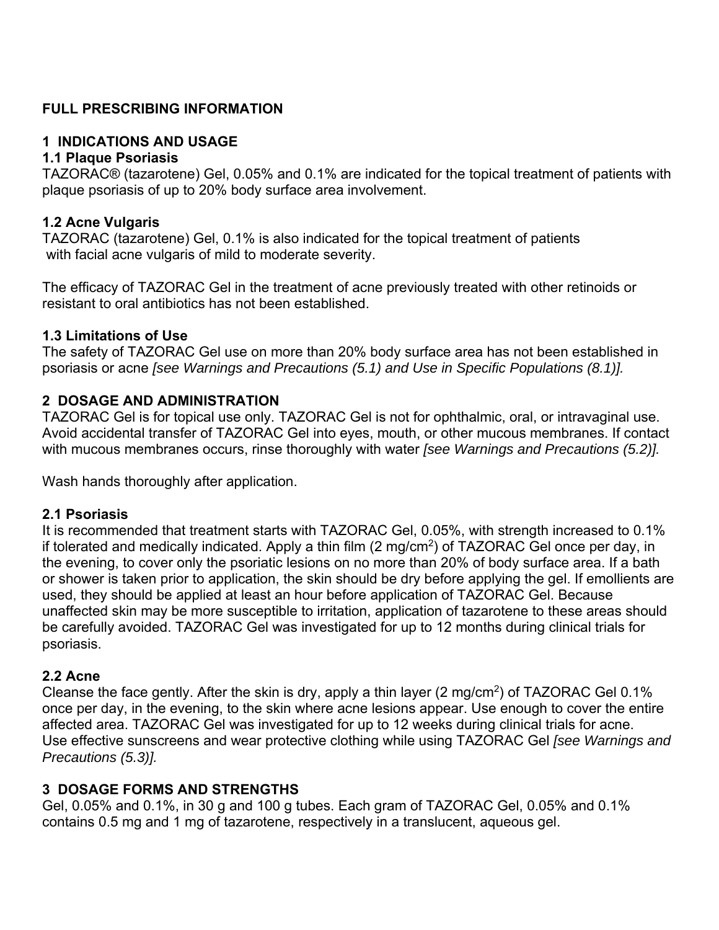## **FULL PRESCRIBING INFORMATION**

#### **1 INDICATIONS AND USAGE**

#### **1.1 Plaque Psoriasis**

TAZORAC® (tazarotene) Gel, 0.05% and 0.1% are indicated for the topical treatment of patients with plaque psoriasis of up to 20% body surface area involvement.

#### **1.2 Acne Vulgaris**

TAZORAC (tazarotene) Gel, 0.1% is also indicated for the topical treatment of patients with facial acne vulgaris of mild to moderate severity.

The efficacy of TAZORAC Gel in the treatment of acne previously treated with other retinoids or resistant to oral antibiotics has not been established.

#### **1.3 Limitations of Use**

The safety of TAZORAC Gel use on more than 20% body surface area has not been established in psoriasis or acne *[see Warnings and Precautions (5.1) and Use in Specific Populations (8.1)].* 

#### **2 DOSAGE AND ADMINISTRATION**

TAZORAC Gel is for topical use only. TAZORAC Gel is not for ophthalmic, oral, or intravaginal use. Avoid accidental transfer of TAZORAC Gel into eyes, mouth, or other mucous membranes. If contact with mucous membranes occurs, rinse thoroughly with water *[see Warnings and Precautions (5.2)].* 

Wash hands thoroughly after application.

#### **2.1 Psoriasis**

It is recommended that treatment starts with TAZORAC Gel, 0.05%, with strength increased to 0.1% if tolerated and medically indicated. Apply a thin film (2 mg/cm2) of TAZORAC Gel once per day, in the evening, to cover only the psoriatic lesions on no more than 20% of body surface area. If a bath or shower is taken prior to application, the skin should be dry before applying the gel. If emollients are used, they should be applied at least an hour before application of TAZORAC Gel. Because unaffected skin may be more susceptible to irritation, application of tazarotene to these areas should be carefully avoided. TAZORAC Gel was investigated for up to 12 months during clinical trials for psoriasis.

#### **2.2 Acne**

Cleanse the face gently. After the skin is dry, apply a thin layer (2 mg/cm2) of TAZORAC Gel 0.1% once per day, in the evening, to the skin where acne lesions appear. Use enough to cover the entire affected area. TAZORAC Gel was investigated for up to 12 weeks during clinical trials for acne. Use effective sunscreens and wear protective clothing while using TAZORAC Gel *[see Warnings and Precautions (5.3)].* 

## **3 DOSAGE FORMS AND STRENGTHS**

Gel, 0.05% and 0.1%, in 30 g and 100 g tubes. Each gram of TAZORAC Gel, 0.05% and 0.1% contains 0.5 mg and 1 mg of tazarotene, respectively in a translucent, aqueous gel.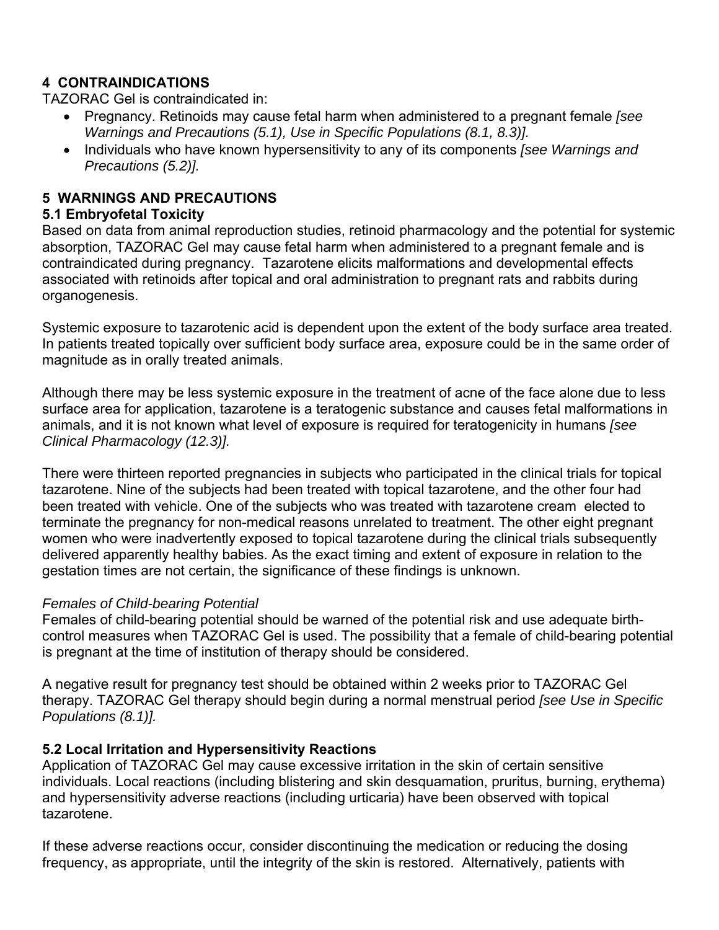## **4 CONTRAINDICATIONS**

TAZORAC Gel is contraindicated in:

- Pregnancy. Retinoids may cause fetal harm when administered to a pregnant female *[see Warnings and Precautions (5.1), Use in Specific Populations (8.1, 8.3)].*
- Individuals who have known hypersensitivity to any of its components *[see Warnings and Precautions (5.2)].*

## **5 WARNINGS AND PRECAUTIONS**

#### **5.1 Embryofetal Toxicity**

Based on data from animal reproduction studies, retinoid pharmacology and the potential for systemic absorption, TAZORAC Gel may cause fetal harm when administered to a pregnant female and is contraindicated during pregnancy. Tazarotene elicits malformations and developmental effects associated with retinoids after topical and oral administration to pregnant rats and rabbits during organogenesis.

Systemic exposure to tazarotenic acid is dependent upon the extent of the body surface area treated. In patients treated topically over sufficient body surface area, exposure could be in the same order of magnitude as in orally treated animals.

Although there may be less systemic exposure in the treatment of acne of the face alone due to less surface area for application, tazarotene is a teratogenic substance and causes fetal malformations in animals, and it is not known what level of exposure is required for teratogenicity in humans *[see Clinical Pharmacology (12.3)].* 

There were thirteen reported pregnancies in subjects who participated in the clinical trials for topical tazarotene. Nine of the subjects had been treated with topical tazarotene, and the other four had been treated with vehicle. One of the subjects who was treated with tazarotene cream elected to terminate the pregnancy for non-medical reasons unrelated to treatment. The other eight pregnant women who were inadvertently exposed to topical tazarotene during the clinical trials subsequently delivered apparently healthy babies. As the exact timing and extent of exposure in relation to the gestation times are not certain, the significance of these findings is unknown.

#### *Females of Child-bearing Potential*

Females of child-bearing potential should be warned of the potential risk and use adequate birthcontrol measures when TAZORAC Gel is used. The possibility that a female of child-bearing potential is pregnant at the time of institution of therapy should be considered.

A negative result for pregnancy test should be obtained within 2 weeks prior to TAZORAC Gel therapy. TAZORAC Gel therapy should begin during a normal menstrual period *[see Use in Specific Populations (8.1)].* 

## **5.2 Local Irritation and Hypersensitivity Reactions**

Application of TAZORAC Gel may cause excessive irritation in the skin of certain sensitive individuals. Local reactions (including blistering and skin desquamation, pruritus, burning, erythema) and hypersensitivity adverse reactions (including urticaria) have been observed with topical tazarotene.

If these adverse reactions occur, consider discontinuing the medication or reducing the dosing frequency, as appropriate, until the integrity of the skin is restored. Alternatively, patients with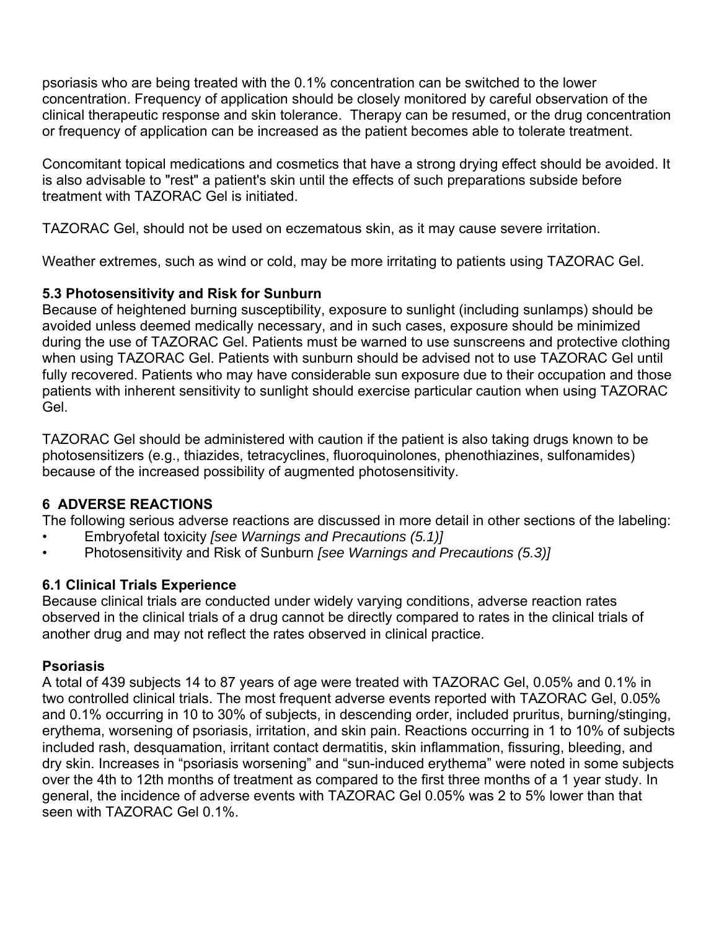psoriasis who are being treated with the 0.1% concentration can be switched to the lower concentration. Frequency of application should be closely monitored by careful observation of the clinical therapeutic response and skin tolerance. Therapy can be resumed, or the drug concentration or frequency of application can be increased as the patient becomes able to tolerate treatment.

Concomitant topical medications and cosmetics that have a strong drying effect should be avoided. It is also advisable to "rest" a patient's skin until the effects of such preparations subside before treatment with TAZORAC Gel is initiated.

TAZORAC Gel, should not be used on eczematous skin, as it may cause severe irritation.

Weather extremes, such as wind or cold, may be more irritating to patients using TAZORAC Gel.

## **5.3 Photosensitivity and Risk for Sunburn**

Because of heightened burning susceptibility, exposure to sunlight (including sunlamps) should be avoided unless deemed medically necessary, and in such cases, exposure should be minimized during the use of TAZORAC Gel. Patients must be warned to use sunscreens and protective clothing when using TAZORAC Gel. Patients with sunburn should be advised not to use TAZORAC Gel until fully recovered. Patients who may have considerable sun exposure due to their occupation and those patients with inherent sensitivity to sunlight should exercise particular caution when using TAZORAC Gel.

TAZORAC Gel should be administered with caution if the patient is also taking drugs known to be photosensitizers (e.g., thiazides, tetracyclines, fluoroquinolones, phenothiazines, sulfonamides) because of the increased possibility of augmented photosensitivity.

## **6 ADVERSE REACTIONS**

The following serious adverse reactions are discussed in more detail in other sections of the labeling:

- Embryofetal toxicity *[see Warnings and Precautions (5.1)]*
- Photosensitivity and Risk of Sunburn *[see Warnings and Precautions (5.3)]*

# **6.1 Clinical Trials Experience**

Because clinical trials are conducted under widely varying conditions, adverse reaction rates observed in the clinical trials of a drug cannot be directly compared to rates in the clinical trials of another drug and may not reflect the rates observed in clinical practice.

## **Psoriasis**

A total of 439 subjects 14 to 87 years of age were treated with TAZORAC Gel, 0.05% and 0.1% in two controlled clinical trials. The most frequent adverse events reported with TAZORAC Gel, 0.05% and 0.1% occurring in 10 to 30% of subjects, in descending order, included pruritus, burning/stinging, erythema, worsening of psoriasis, irritation, and skin pain. Reactions occurring in 1 to 10% of subjects included rash, desquamation, irritant contact dermatitis, skin inflammation, fissuring, bleeding, and dry skin. Increases in "psoriasis worsening" and "sun-induced erythema" were noted in some subjects over the 4th to 12th months of treatment as compared to the first three months of a 1 year study. In general, the incidence of adverse events with TAZORAC Gel 0.05% was 2 to 5% lower than that seen with TAZORAC Gel 0.1%.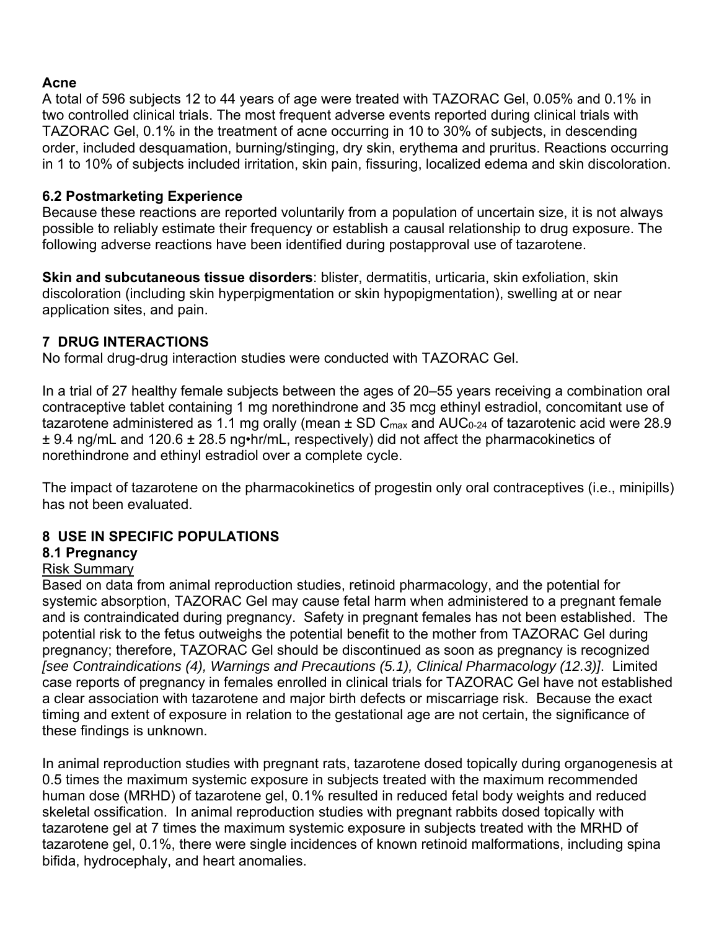#### **Acne**

A total of 596 subjects 12 to 44 years of age were treated with TAZORAC Gel, 0.05% and 0.1% in two controlled clinical trials. The most frequent adverse events reported during clinical trials with TAZORAC Gel, 0.1% in the treatment of acne occurring in 10 to 30% of subjects, in descending order, included desquamation, burning/stinging, dry skin, erythema and pruritus. Reactions occurring in 1 to 10% of subjects included irritation, skin pain, fissuring, localized edema and skin discoloration.

#### **6.2 Postmarketing Experience**

Because these reactions are reported voluntarily from a population of uncertain size, it is not always possible to reliably estimate their frequency or establish a causal relationship to drug exposure. The following adverse reactions have been identified during postapproval use of tazarotene.

**Skin and subcutaneous tissue disorders**: blister, dermatitis, urticaria, skin exfoliation, skin discoloration (including skin hyperpigmentation or skin hypopigmentation), swelling at or near application sites, and pain.

## **7 DRUG INTERACTIONS**

No formal drug-drug interaction studies were conducted with TAZORAC Gel.

In a trial of 27 healthy female subjects between the ages of 20–55 years receiving a combination oral contraceptive tablet containing 1 mg norethindrone and 35 mcg ethinyl estradiol, concomitant use of tazarotene administered as 1.1 mg orally (mean  $\pm$  SD C<sub>max</sub> and AUC<sub>0-24</sub> of tazarotenic acid were 28.9 ± 9.4 ng/mL and 120.6 ± 28.5 ng•hr/mL, respectively) did not affect the pharmacokinetics of norethindrone and ethinyl estradiol over a complete cycle.

The impact of tazarotene on the pharmacokinetics of progestin only oral contraceptives (i.e., minipills) has not been evaluated.

## **8 USE IN SPECIFIC POPULATIONS**

## **8.1 Pregnancy**

#### Risk Summary

Based on data from animal reproduction studies, retinoid pharmacology, and the potential for systemic absorption, TAZORAC Gel may cause fetal harm when administered to a pregnant female and is contraindicated during pregnancy. Safety in pregnant females has not been established. The potential risk to the fetus outweighs the potential benefit to the mother from TAZORAC Gel during pregnancy; therefore, TAZORAC Gel should be discontinued as soon as pregnancy is recognized *[see Contraindications (4), Warnings and Precautions (5.1), Clinical Pharmacology (12.3)]*. Limited case reports of pregnancy in females enrolled in clinical trials for TAZORAC Gel have not established a clear association with tazarotene and major birth defects or miscarriage risk. Because the exact timing and extent of exposure in relation to the gestational age are not certain, the significance of these findings is unknown.

In animal reproduction studies with pregnant rats, tazarotene dosed topically during organogenesis at 0.5 times the maximum systemic exposure in subjects treated with the maximum recommended human dose (MRHD) of tazarotene gel, 0.1% resulted in reduced fetal body weights and reduced skeletal ossification. In animal reproduction studies with pregnant rabbits dosed topically with tazarotene gel at 7 times the maximum systemic exposure in subjects treated with the MRHD of tazarotene gel, 0.1%, there were single incidences of known retinoid malformations, including spina bifida, hydrocephaly, and heart anomalies.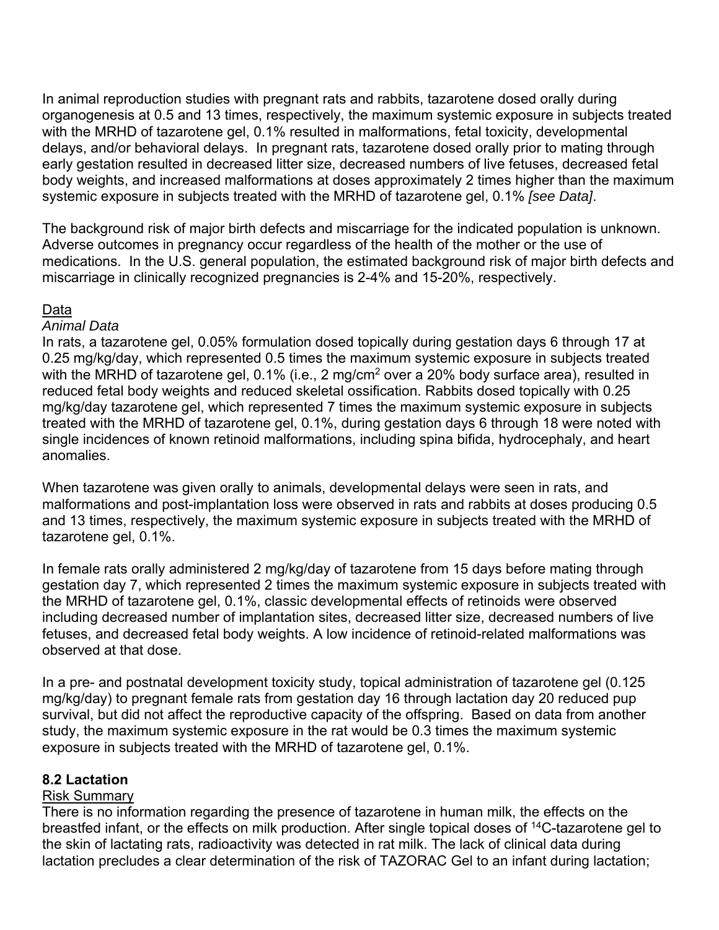In animal reproduction studies with pregnant rats and rabbits, tazarotene dosed orally during organogenesis at 0.5 and 13 times, respectively, the maximum systemic exposure in subjects treated with the MRHD of tazarotene gel, 0.1% resulted in malformations, fetal toxicity, developmental delays, and/or behavioral delays. In pregnant rats, tazarotene dosed orally prior to mating through early gestation resulted in decreased litter size, decreased numbers of live fetuses, decreased fetal body weights, and increased malformations at doses approximately 2 times higher than the maximum systemic exposure in subjects treated with the MRHD of tazarotene gel, 0.1% *[see Data]*.

The background risk of major birth defects and miscarriage for the indicated population is unknown. Adverse outcomes in pregnancy occur regardless of the health of the mother or the use of medications. In the U.S. general population, the estimated background risk of major birth defects and miscarriage in clinically recognized pregnancies is 2-4% and 15-20%, respectively.

#### Data

#### *Animal Data*

In rats, a tazarotene gel, 0.05% formulation dosed topically during gestation days 6 through 17 at 0.25 mg/kg/day, which represented 0.5 times the maximum systemic exposure in subjects treated with the MRHD of tazarotene gel, 0.1% (i.e., 2 mg/cm<sup>2</sup> over a 20% body surface area), resulted in reduced fetal body weights and reduced skeletal ossification. Rabbits dosed topically with 0.25 mg/kg/day tazarotene gel, which represented 7 times the maximum systemic exposure in subjects treated with the MRHD of tazarotene gel, 0.1%, during gestation days 6 through 18 were noted with single incidences of known retinoid malformations, including spina bifida, hydrocephaly, and heart anomalies.

When tazarotene was given orally to animals, developmental delays were seen in rats, and malformations and post-implantation loss were observed in rats and rabbits at doses producing 0.5 and 13 times, respectively, the maximum systemic exposure in subjects treated with the MRHD of tazarotene gel, 0.1%.

In female rats orally administered 2 mg/kg/day of tazarotene from 15 days before mating through gestation day 7, which represented 2 times the maximum systemic exposure in subjects treated with the MRHD of tazarotene gel, 0.1%, classic developmental effects of retinoids were observed including decreased number of implantation sites, decreased litter size, decreased numbers of live fetuses, and decreased fetal body weights. A low incidence of retinoid-related malformations was observed at that dose.

In a pre- and postnatal development toxicity study, topical administration of tazarotene gel (0.125 mg/kg/day) to pregnant female rats from gestation day 16 through lactation day 20 reduced pup survival, but did not affect the reproductive capacity of the offspring. Based on data from another study, the maximum systemic exposure in the rat would be 0.3 times the maximum systemic exposure in subjects treated with the MRHD of tazarotene gel, 0.1%.

#### **8.2 Lactation**

#### Risk Summary

There is no information regarding the presence of tazarotene in human milk, the effects on the breastfed infant, or the effects on milk production. After single topical doses of 14C-tazarotene gel to the skin of lactating rats, radioactivity was detected in rat milk. The lack of clinical data during lactation precludes a clear determination of the risk of TAZORAC Gel to an infant during lactation;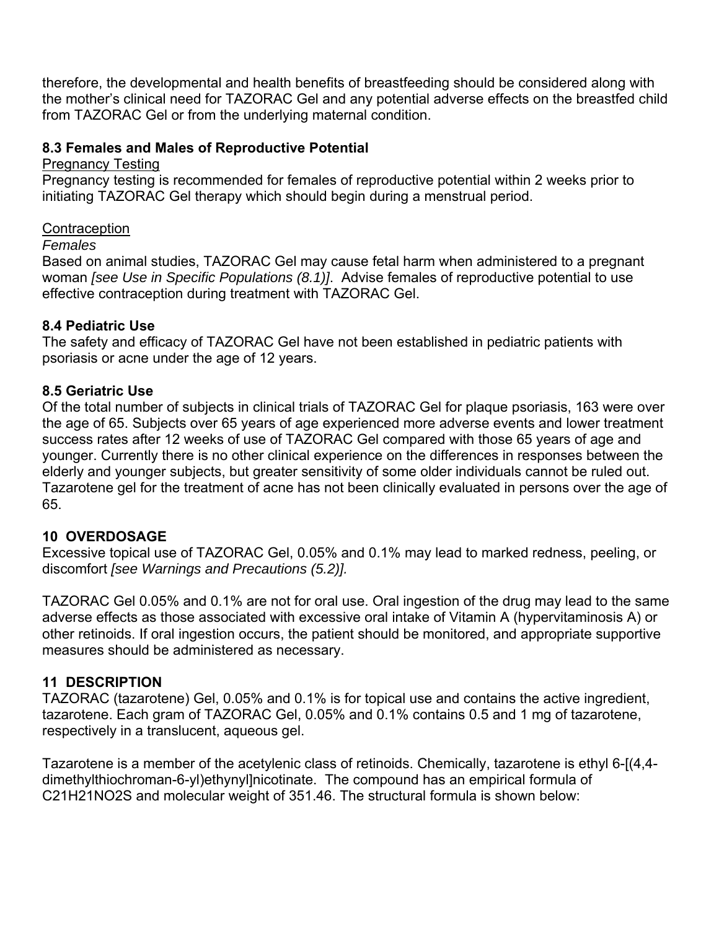therefore, the developmental and health benefits of breastfeeding should be considered along with the mother's clinical need for TAZORAC Gel and any potential adverse effects on the breastfed child from TAZORAC Gel or from the underlying maternal condition.

#### **8.3 Females and Males of Reproductive Potential**

#### Pregnancy Testing

Pregnancy testing is recommended for females of reproductive potential within 2 weeks prior to initiating TAZORAC Gel therapy which should begin during a menstrual period.

#### **Contraception**

#### *Females*

Based on animal studies, TAZORAC Gel may cause fetal harm when administered to a pregnant woman *[see Use in Specific Populations (8.1)]*. Advise females of reproductive potential to use effective contraception during treatment with TAZORAC Gel.

## **8.4 Pediatric Use**

The safety and efficacy of TAZORAC Gel have not been established in pediatric patients with psoriasis or acne under the age of 12 years.

## **8.5 Geriatric Use**

Of the total number of subjects in clinical trials of TAZORAC Gel for plaque psoriasis, 163 were over the age of 65. Subjects over 65 years of age experienced more adverse events and lower treatment success rates after 12 weeks of use of TAZORAC Gel compared with those 65 years of age and younger. Currently there is no other clinical experience on the differences in responses between the elderly and younger subjects, but greater sensitivity of some older individuals cannot be ruled out. Tazarotene gel for the treatment of acne has not been clinically evaluated in persons over the age of 65.

# **10 OVERDOSAGE**

Excessive topical use of TAZORAC Gel, 0.05% and 0.1% may lead to marked redness, peeling, or discomfort *[see Warnings and Precautions (5.2)].* 

TAZORAC Gel 0.05% and 0.1% are not for oral use. Oral ingestion of the drug may lead to the same adverse effects as those associated with excessive oral intake of Vitamin A (hypervitaminosis A) or other retinoids. If oral ingestion occurs, the patient should be monitored, and appropriate supportive measures should be administered as necessary.

# **11 DESCRIPTION**

TAZORAC (tazarotene) Gel, 0.05% and 0.1% is for topical use and contains the active ingredient, tazarotene. Each gram of TAZORAC Gel, 0.05% and 0.1% contains 0.5 and 1 mg of tazarotene, respectively in a translucent, aqueous gel.

Tazarotene is a member of the acetylenic class of retinoids. Chemically, tazarotene is ethyl 6-[(4,4 dimethylthiochroman-6-yl)ethynyl]nicotinate. The compound has an empirical formula of C21H21NO2S and molecular weight of 351.46. The structural formula is shown below: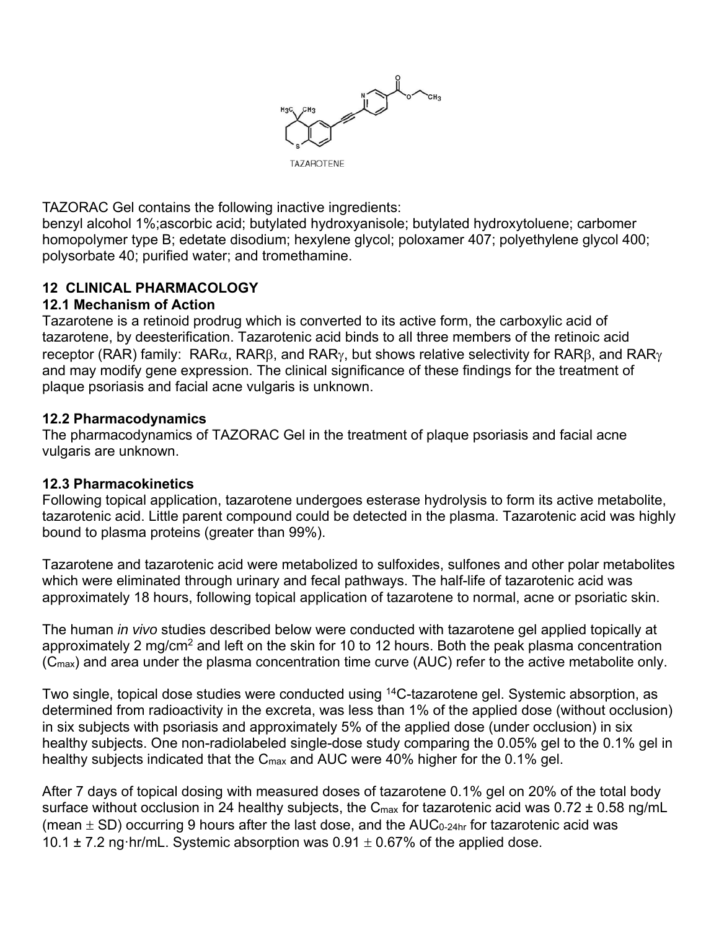

TAZORAC Gel contains the following inactive ingredients:

benzyl alcohol 1%;ascorbic acid; butylated hydroxyanisole; butylated hydroxytoluene; carbomer homopolymer type B; edetate disodium; hexylene glycol; poloxamer 407; polyethylene glycol 400; polysorbate 40; purified water; and tromethamine.

## **12 CLINICAL PHARMACOLOGY**

#### **12.1 Mechanism of Action**

Tazarotene is a retinoid prodrug which is converted to its active form, the carboxylic acid of tazarotene, by deesterification. Tazarotenic acid binds to all three members of the retinoic acid receptor (RAR) family: RAR $\alpha$ , RAR $\beta$ , and RAR $\gamma$ , but shows relative selectivity for RAR $\beta$ , and RAR $\gamma$ and may modify gene expression. The clinical significance of these findings for the treatment of plaque psoriasis and facial acne vulgaris is unknown.

#### **12.2 Pharmacodynamics**

The pharmacodynamics of TAZORAC Gel in the treatment of plaque psoriasis and facial acne vulgaris are unknown.

#### **12.3 Pharmacokinetics**

Following topical application, tazarotene undergoes esterase hydrolysis to form its active metabolite, tazarotenic acid. Little parent compound could be detected in the plasma. Tazarotenic acid was highly bound to plasma proteins (greater than 99%).

Tazarotene and tazarotenic acid were metabolized to sulfoxides, sulfones and other polar metabolites which were eliminated through urinary and fecal pathways. The half-life of tazarotenic acid was approximately 18 hours, following topical application of tazarotene to normal, acne or psoriatic skin.

The human *in vivo* studies described below were conducted with tazarotene gel applied topically at approximately 2 mg/cm<sup>2</sup> and left on the skin for 10 to 12 hours. Both the peak plasma concentration (Cmax) and area under the plasma concentration time curve (AUC) refer to the active metabolite only.

Two single, topical dose studies were conducted using <sup>14</sup>C-tazarotene gel. Systemic absorption, as determined from radioactivity in the excreta, was less than 1% of the applied dose (without occlusion) in six subjects with psoriasis and approximately 5% of the applied dose (under occlusion) in six healthy subjects. One non-radiolabeled single-dose study comparing the 0.05% gel to the 0.1% gel in healthy subjects indicated that the C<sub>max</sub> and AUC were 40% higher for the 0.1% gel.

After 7 days of topical dosing with measured doses of tazarotene 0.1% gel on 20% of the total body surface without occlusion in 24 healthy subjects, the  $C_{\text{max}}$  for tazarotenic acid was 0.72  $\pm$  0.58 ng/mL (mean  $\pm$  SD) occurring 9 hours after the last dose, and the AUC<sub>0-24hr</sub> for tazarotenic acid was 10.1  $\pm$  7.2 ng·hr/mL. Systemic absorption was 0.91  $\pm$  0.67% of the applied dose.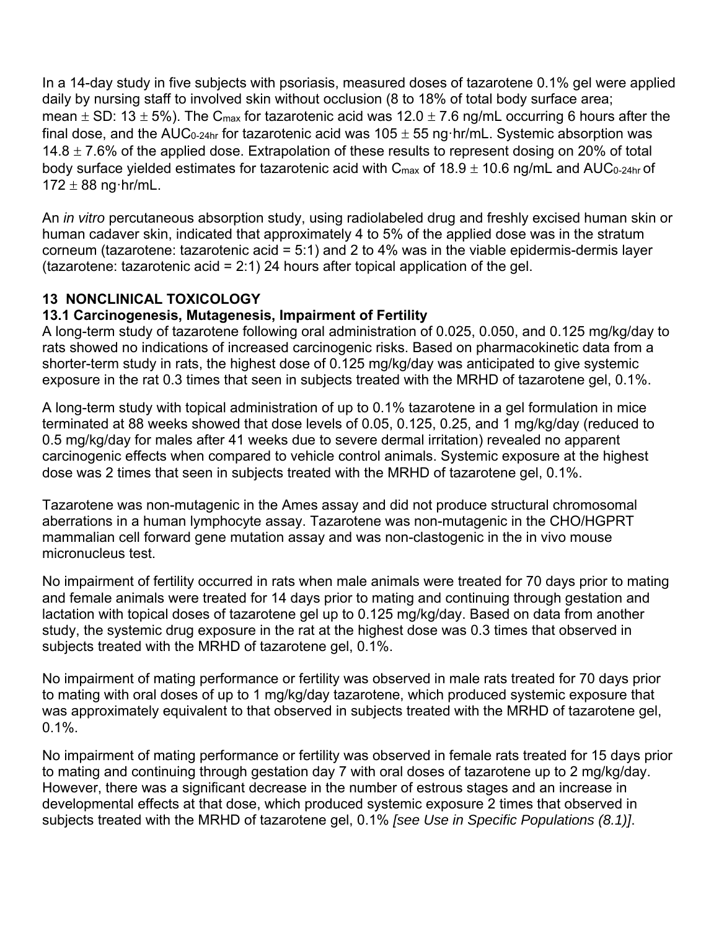In a 14-day study in five subjects with psoriasis, measured doses of tazarotene 0.1% gel were applied daily by nursing staff to involved skin without occlusion (8 to 18% of total body surface area; mean  $\pm$  SD: 13  $\pm$  5%). The C<sub>max</sub> for tazarotenic acid was 12.0  $\pm$  7.6 ng/mL occurring 6 hours after the final dose, and the AUC<sub>0-24hr</sub> for tazarotenic acid was  $105 \pm 55$  ng·hr/mL. Systemic absorption was 14.8  $\pm$  7.6% of the applied dose. Extrapolation of these results to represent dosing on 20% of total body surface yielded estimates for tazarotenic acid with  $C_{\text{max}}$  of 18.9  $\pm$  10.6 ng/mL and AUC<sub>0-24hr</sub> of  $172 \pm 88$  ng hr/mL.

An *in vitro* percutaneous absorption study, using radiolabeled drug and freshly excised human skin or human cadaver skin, indicated that approximately 4 to 5% of the applied dose was in the stratum corneum (tazarotene: tazarotenic acid = 5:1) and 2 to 4% was in the viable epidermis-dermis layer (tazarotene: tazarotenic acid =  $2:1$ ) 24 hours after topical application of the gel.

## **13 NONCLINICAL TOXICOLOGY**

## **13.1 Carcinogenesis, Mutagenesis, Impairment of Fertility**

A long-term study of tazarotene following oral administration of 0.025, 0.050, and 0.125 mg/kg/day to rats showed no indications of increased carcinogenic risks. Based on pharmacokinetic data from a shorter-term study in rats, the highest dose of 0.125 mg/kg/day was anticipated to give systemic exposure in the rat 0.3 times that seen in subjects treated with the MRHD of tazarotene gel, 0.1%.

A long-term study with topical administration of up to 0.1% tazarotene in a gel formulation in mice terminated at 88 weeks showed that dose levels of 0.05, 0.125, 0.25, and 1 mg/kg/day (reduced to 0.5 mg/kg/day for males after 41 weeks due to severe dermal irritation) revealed no apparent carcinogenic effects when compared to vehicle control animals. Systemic exposure at the highest dose was 2 times that seen in subjects treated with the MRHD of tazarotene gel, 0.1%.

Tazarotene was non-mutagenic in the Ames assay and did not produce structural chromosomal aberrations in a human lymphocyte assay. Tazarotene was non-mutagenic in the CHO/HGPRT mammalian cell forward gene mutation assay and was non-clastogenic in the in vivo mouse micronucleus test.

No impairment of fertility occurred in rats when male animals were treated for 70 days prior to mating and female animals were treated for 14 days prior to mating and continuing through gestation and lactation with topical doses of tazarotene gel up to 0.125 mg/kg/day. Based on data from another study, the systemic drug exposure in the rat at the highest dose was 0.3 times that observed in subjects treated with the MRHD of tazarotene gel, 0.1%.

No impairment of mating performance or fertility was observed in male rats treated for 70 days prior to mating with oral doses of up to 1 mg/kg/day tazarotene, which produced systemic exposure that was approximately equivalent to that observed in subjects treated with the MRHD of tazarotene gel, 0.1%.

No impairment of mating performance or fertility was observed in female rats treated for 15 days prior to mating and continuing through gestation day 7 with oral doses of tazarotene up to 2 mg/kg/day. However, there was a significant decrease in the number of estrous stages and an increase in developmental effects at that dose, which produced systemic exposure 2 times that observed in subjects treated with the MRHD of tazarotene gel, 0.1% *[see Use in Specific Populations (8.1)]*.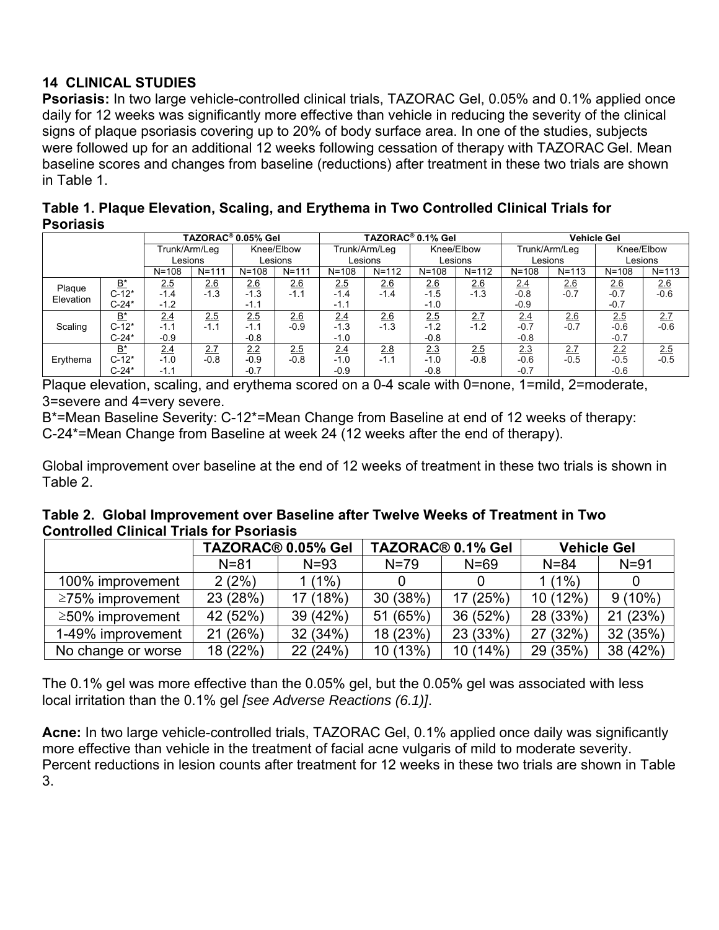# **14 CLINICAL STUDIES**

**Psoriasis:** In two large vehicle-controlled clinical trials, TAZORAC Gel, 0.05% and 0.1% applied once daily for 12 weeks was significantly more effective than vehicle in reducing the severity of the clinical signs of plaque psoriasis covering up to 20% of body surface area. In one of the studies, subjects were followed up for an additional 12 weeks following cessation of therapy with TAZORAC Gel. Mean baseline scores and changes from baseline (reductions) after treatment in these two trials are shown in Table 1.

| Table 1. Plaque Elevation, Scaling, and Erythema in Two Controlled Clinical Trials for |  |
|----------------------------------------------------------------------------------------|--|
| <b>Psoriasis</b>                                                                       |  |

|                     |           | TAZORAC <sup>®</sup> 0.05% Gel |           |            | TAZORAC <sup>®</sup> 0.1% Gel |               |           |            | <b>Vehicle Gel</b> |               |           |            |                    |
|---------------------|-----------|--------------------------------|-----------|------------|-------------------------------|---------------|-----------|------------|--------------------|---------------|-----------|------------|--------------------|
|                     |           | Trunk/Arm/Leg                  |           | Knee/Elbow |                               | Trunk/Arm/Leg |           | Knee/Elbow |                    | Trunk/Arm/Leg |           | Knee/Elbow |                    |
|                     |           | Lesions                        |           | Lesions    |                               | Lesions       |           | Lesions    |                    | Lesions       |           | Lesions    |                    |
|                     |           | $N = 108$                      | $N = 111$ | $N = 108$  | $N = 111$                     | $N = 108$     | $N = 112$ | $N = 108$  | $N = 112$          | $N = 108$     | $N = 113$ | $N = 108$  | $N = 113$          |
|                     | B*        | <u>2.5</u>                     | 2.6       | 2.6        | 2.6                           | 2.5           | 2.6       | 2.6        | 2.6                | 2.4           | 2.6       | 2.6        | $\frac{2.6}{-0.6}$ |
| Plaque<br>Elevation | $C-12*$   | $-1.4$                         | $-1.3$    | $-1.3$     | $-1.1$                        | $-1.4$        | $-1.4$    | $-1.5$     | $-1.3$             | $-0.8$        | $-0.7$    | $-0.7$     |                    |
|                     | $C-24*$   | $-1.2$                         |           | $-1.1$     |                               | $-1.1$        |           | $-1.0$     |                    | $-0.9$        |           | $-0.7$     |                    |
|                     | <u>B*</u> | 2.4                            | 2.5       | 2.5        | 2.6                           | 2.4           | 26        | 2.5        | 2.7                | 2.4           | 2.6       | 2.5        | 2.7                |
| Scaling             | $C-12*$   | $-1.1$                         | $-1.1$    | $-1.1$     | $-0.9$                        | $-1.3$        | $-1.3$    | $-1.2$     | $-1.2$             | $-0.7$        | $-0.7$    | $-0.6$     | $-0.6$             |
|                     | $C-24*$   | $-0.9$                         |           | $-0.8$     |                               | $-1.0$        |           | $-0.8$     |                    | $-0.8$        |           | $-0.7$     |                    |
|                     | B*        | 2.4                            | 2.7       | 2.2        | 2.5                           | 2.4           | 2.8       | 2.3        | 2.5                | 2.3           | 2.7       | 2.2        | $\frac{2.5}{-0.5}$ |
| Erythema            | $C-12*$   | $-1.0$                         | $-0.8$    | $-0.9$     | $-0.8$                        | $-1.0$        | $-1.1$    | $-1.0$     | $-0.8$             | $-0.6$        | $-0.5$    | $-0.5$     |                    |
|                     | $C-24*$   | -1.1                           |           | $-0.7$     |                               | $-0.9$        |           | $-0.8$     |                    | $-0.7$        |           | $-0.6$     |                    |

Plaque elevation, scaling, and erythema scored on a 0-4 scale with 0=none, 1=mild, 2=moderate, 3=severe and 4=very severe.

B\*=Mean Baseline Severity: C-12\*=Mean Change from Baseline at end of 12 weeks of therapy: C-24\*=Mean Change from Baseline at week 24 (12 weeks after the end of therapy).

Global improvement over baseline at the end of 12 weeks of treatment in these two trials is shown in Table 2.

| Table 2. Global Improvement over Baseline after Twelve Weeks of Treatment in Two |  |
|----------------------------------------------------------------------------------|--|
| <b>Controlled Clinical Trials for Psoriasis</b>                                  |  |

|                        | TAZORAC <sup>®</sup> 0.05% Gel |          |          | TAZORAC <sup>®</sup> 0.1% Gel | <b>Vehicle Gel</b> |           |
|------------------------|--------------------------------|----------|----------|-------------------------------|--------------------|-----------|
|                        | $N = 81$                       | $N = 93$ | $N = 79$ | $N = 69$                      | $N = 84$           | $N = 91$  |
| 100% improvement       | 2(2%)                          | $1(1\%)$ |          |                               | $1(1\%)$           |           |
| $\geq$ 75% improvement | 23 (28%)                       | 17 (18%) | 30 (38%) | 17 (25%)                      | 10 (12%)           | $9(10\%)$ |
| $\geq$ 50% improvement | 42 (52%)                       | 39 (42%) | 51 (65%) | 36 (52%)                      | 28 (33%)           | 21 (23%)  |
| 1-49% improvement      | 21 (26%)                       | 32 (34%) | 18 (23%) | 23 (33%)                      | 27 (32%)           | 32 (35%)  |
| No change or worse     | 18 (22%)                       | 22 (24%) | 10 (13%) | 10 (14%)                      | 29 (35%)           | 38 (42%)  |

The 0.1% gel was more effective than the 0.05% gel, but the 0.05% gel was associated with less local irritation than the 0.1% gel *[see Adverse Reactions (6.1)]*.

**Acne:** In two large vehicle-controlled trials, TAZORAC Gel, 0.1% applied once daily was significantly more effective than vehicle in the treatment of facial acne vulgaris of mild to moderate severity. Percent reductions in lesion counts after treatment for 12 weeks in these two trials are shown in Table 3.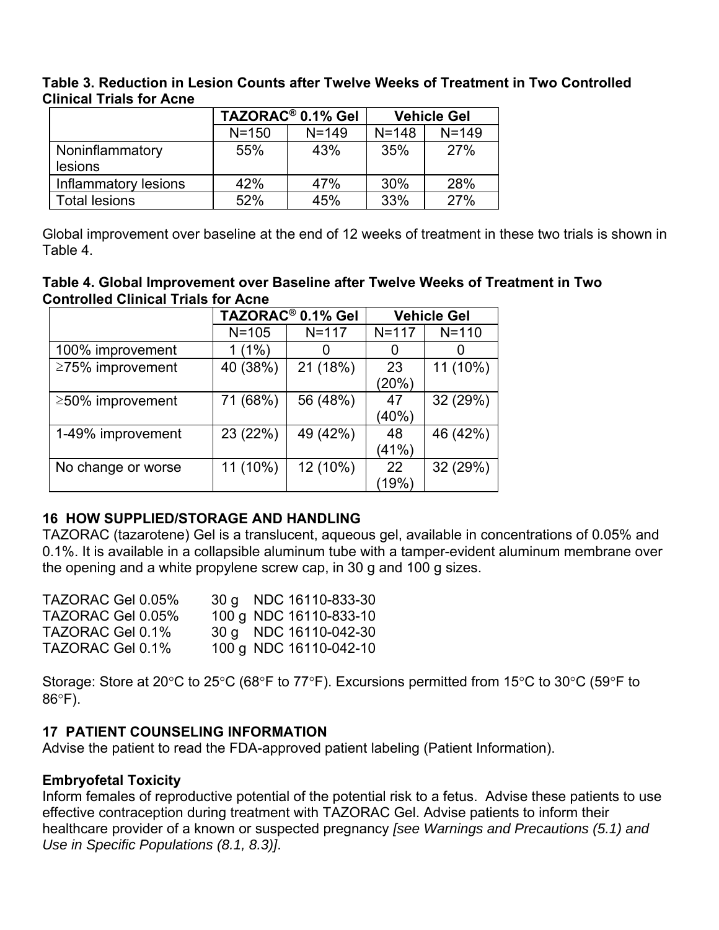#### **Table 3. Reduction in Lesion Counts after Twelve Weeks of Treatment in Two Controlled Clinical Trials for Acne**

|                      |            | TAZORAC <sup>®</sup> 0.1% Gel | <b>Vehicle Gel</b> |           |  |
|----------------------|------------|-------------------------------|--------------------|-----------|--|
|                      | $N = 150$  | $N = 149$                     | $N = 148$          | $N = 149$ |  |
| Noninflammatory      | 43%<br>55% |                               | 35%                | 27%       |  |
| <b>lesions</b>       |            |                               |                    |           |  |
| Inflammatory lesions | 42%        | 47%                           | 30%                | 28%       |  |
| <b>Total lesions</b> | 52%        | 45%                           | 33%                | 27%       |  |

Global improvement over baseline at the end of 12 weeks of treatment in these two trials is shown in Table 4.

#### **Table 4. Global Improvement over Baseline after Twelve Weeks of Treatment in Two Controlled Clinical Trials for Acne**

|                    |           | TAZORAC <sup>®</sup> 0.1% Gel | <b>Vehicle Gel</b> |           |  |
|--------------------|-----------|-------------------------------|--------------------|-----------|--|
|                    | $N = 105$ | $N = 117$                     | $N = 117$          | $N = 110$ |  |
| 100% improvement   | $1(1\%)$  | O                             | $\Omega$           |           |  |
| ≥75% improvement   | 40 (38%)  | 21 (18%)                      | 23                 | 11 (10%)  |  |
|                    |           |                               | (20%)              |           |  |
| ≥50% improvement   | 71 (68%)  | 56 (48%)                      | 47                 | 32 (29%)  |  |
|                    |           |                               | (40%)              |           |  |
| 1-49% improvement  | 23 (22%)  | 49 (42%)                      | 48                 | 46 (42%)  |  |
|                    |           |                               | (41%)              |           |  |
| No change or worse | 11 (10%)  | 12 (10%)                      | 22                 | 32 (29%)  |  |
|                    |           |                               | (19%               |           |  |

## **16 HOW SUPPLIED/STORAGE AND HANDLING**

TAZORAC (tazarotene) Gel is a translucent, aqueous gel, available in concentrations of 0.05% and 0.1%. It is available in a collapsible aluminum tube with a tamper-evident aluminum membrane over the opening and a white propylene screw cap, in 30 g and 100 g sizes.

| TAZORAC Gel 0.05% | 30 g NDC 16110-833-30  |
|-------------------|------------------------|
| TAZORAC Gel 0.05% | 100 g NDC 16110-833-10 |
| TAZORAC Gel 0.1%  | 30 g NDC 16110-042-30  |
| TAZORAC Gel 0.1%  | 100 g NDC 16110-042-10 |

Storage: Store at 20 $\degree$ C to 25 $\degree$ C (68 $\degree$ F to 77 $\degree$ F). Excursions permitted from 15 $\degree$ C to 30 $\degree$ C (59 $\degree$ F to  $86^{\circ}$ F).

## **17 PATIENT COUNSELING INFORMATION**

Advise the patient to read the FDA-approved patient labeling (Patient Information).

## **Embryofetal Toxicity**

Inform females of reproductive potential of the potential risk to a fetus. Advise these patients to use effective contraception during treatment with TAZORAC Gel. Advise patients to inform their healthcare provider of a known or suspected pregnancy *[see Warnings and Precautions (5.1) and Use in Specific Populations (8.1, 8.3)]*.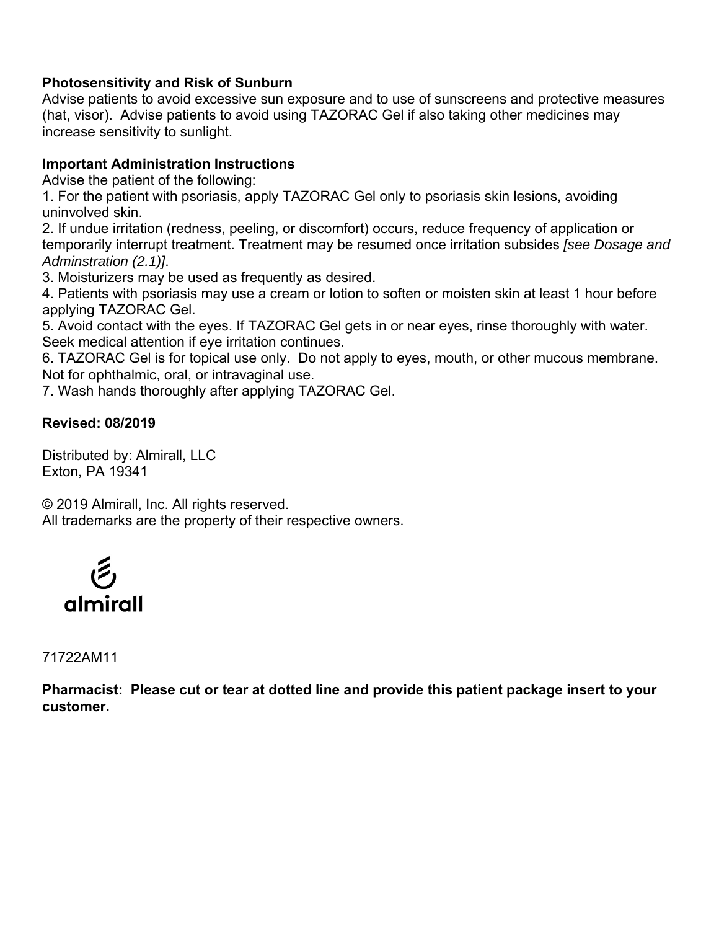#### **Photosensitivity and Risk of Sunburn**

Advise patients to avoid excessive sun exposure and to use of sunscreens and protective measures (hat, visor). Advise patients to avoid using TAZORAC Gel if also taking other medicines may increase sensitivity to sunlight.

#### **Important Administration Instructions**

Advise the patient of the following:

1. For the patient with psoriasis, apply TAZORAC Gel only to psoriasis skin lesions, avoiding uninvolved skin.

2. If undue irritation (redness, peeling, or discomfort) occurs, reduce frequency of application or temporarily interrupt treatment. Treatment may be resumed once irritation subsides *[see Dosage and Adminstration (2.1)]*.

3. Moisturizers may be used as frequently as desired.

4. Patients with psoriasis may use a cream or lotion to soften or moisten skin at least 1 hour before applying TAZORAC Gel.

5. Avoid contact with the eyes. If TAZORAC Gel gets in or near eyes, rinse thoroughly with water. Seek medical attention if eye irritation continues.

6. TAZORAC Gel is for topical use only. Do not apply to eyes, mouth, or other mucous membrane. Not for ophthalmic, oral, or intravaginal use.

7. Wash hands thoroughly after applying TAZORAC Gel.

#### **Revised: 08/2019**

Distributed by: Almirall, LLC Exton, PA 19341

© 2019 Almirall, Inc. All rights reserved. All trademarks are the property of their respective owners.



71722AM11

**Pharmacist: Please cut or tear at dotted line and provide this patient package insert to your customer.**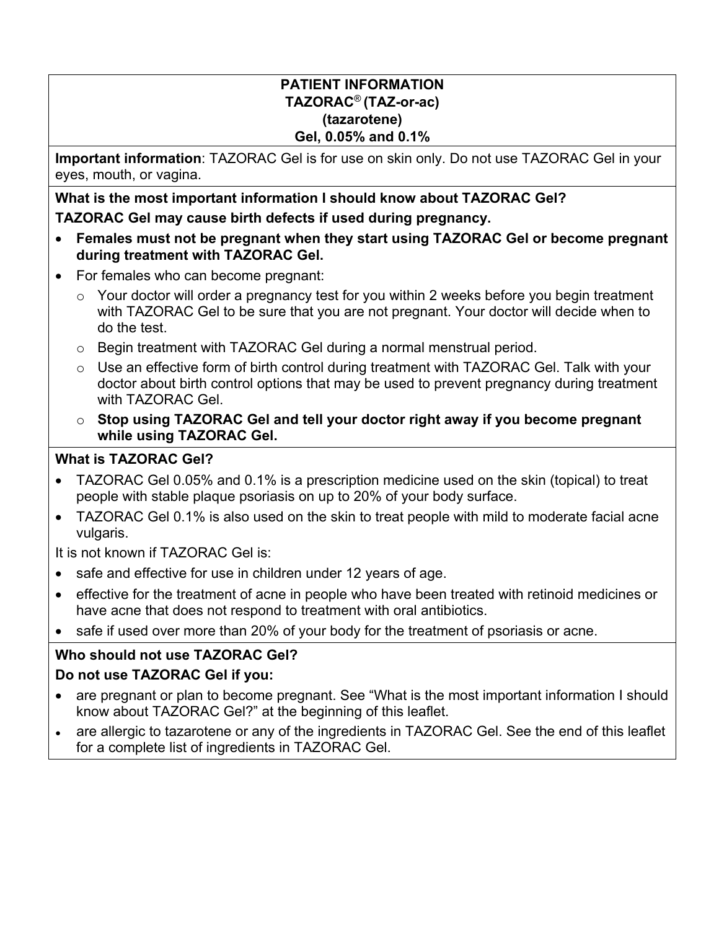#### **PATIENT INFORMATION TAZORAC**® **(TAZ-or-ac) (tazarotene) Gel, 0.05% and 0.1%**

**Important information**: TAZORAC Gel is for use on skin only. Do not use TAZORAC Gel in your eyes, mouth, or vagina.

**What is the most important information I should know about TAZORAC Gel? TAZORAC Gel may cause birth defects if used during pregnancy.** 

- **Females must not be pregnant when they start using TAZORAC Gel or become pregnant during treatment with TAZORAC Gel.**
- For females who can become pregnant:
	- $\circ$  Your doctor will order a pregnancy test for you within 2 weeks before you begin treatment with TAZORAC Gel to be sure that you are not pregnant. Your doctor will decide when to do the test.
	- o Begin treatment with TAZORAC Gel during a normal menstrual period.
	- $\circ$  Use an effective form of birth control during treatment with TAZORAC Gel. Talk with your doctor about birth control options that may be used to prevent pregnancy during treatment with TAZORAC Gel.
	- o **Stop using TAZORAC Gel and tell your doctor right away if you become pregnant while using TAZORAC Gel.**

# **What is TAZORAC Gel?**

- TAZORAC Gel 0.05% and 0.1% is a prescription medicine used on the skin (topical) to treat people with stable plaque psoriasis on up to 20% of your body surface.
- TAZORAC Gel 0.1% is also used on the skin to treat people with mild to moderate facial acne vulgaris.

It is not known if TAZORAC Gel is:

- safe and effective for use in children under 12 years of age.
- effective for the treatment of acne in people who have been treated with retinoid medicines or have acne that does not respond to treatment with oral antibiotics.
- safe if used over more than 20% of your body for the treatment of psoriasis or acne.

# **Who should not use TAZORAC Gel?**

# **Do not use TAZORAC Gel if you:**

- are pregnant or plan to become pregnant. See "What is the most important information I should know about TAZORAC Gel?" at the beginning of this leaflet.
- are allergic to tazarotene or any of the ingredients in TAZORAC Gel. See the end of this leaflet for a complete list of ingredients in TAZORAC Gel.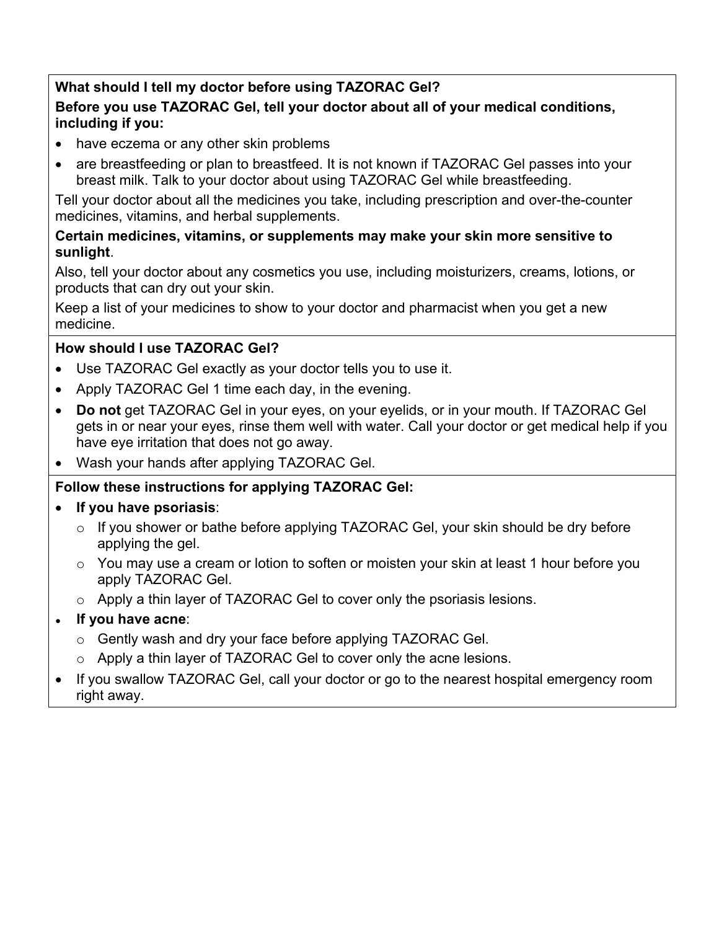# **What should I tell my doctor before using TAZORAC Gel?**

## **Before you use TAZORAC Gel, tell your doctor about all of your medical conditions, including if you:**

- have eczema or any other skin problems
- are breastfeeding or plan to breastfeed. It is not known if TAZORAC Gel passes into your breast milk. Talk to your doctor about using TAZORAC Gel while breastfeeding.

Tell your doctor about all the medicines you take, including prescription and over-the-counter medicines, vitamins, and herbal supplements.

## **Certain medicines, vitamins, or supplements may make your skin more sensitive to sunlight**.

Also, tell your doctor about any cosmetics you use, including moisturizers, creams, lotions, or products that can dry out your skin.

Keep a list of your medicines to show to your doctor and pharmacist when you get a new medicine.

# **How should I use TAZORAC Gel?**

- Use TAZORAC Gel exactly as your doctor tells you to use it.
- Apply TAZORAC Gel 1 time each day, in the evening.
- **Do not** get TAZORAC Gel in your eyes, on your eyelids, or in your mouth. If TAZORAC Gel gets in or near your eyes, rinse them well with water. Call your doctor or get medical help if you have eye irritation that does not go away.
- Wash your hands after applying TAZORAC Gel.

# **Follow these instructions for applying TAZORAC Gel:**

# **If you have psoriasis**:

- $\circ$  If you shower or bathe before applying TAZORAC Gel, your skin should be dry before applying the gel.
- o You may use a cream or lotion to soften or moisten your skin at least 1 hour before you apply TAZORAC Gel.
- o Apply a thin layer of TAZORAC Gel to cover only the psoriasis lesions.

# **If you have acne:**

- o Gently wash and dry your face before applying TAZORAC Gel.
- o Apply a thin layer of TAZORAC Gel to cover only the acne lesions.
- If you swallow TAZORAC Gel, call your doctor or go to the nearest hospital emergency room right away.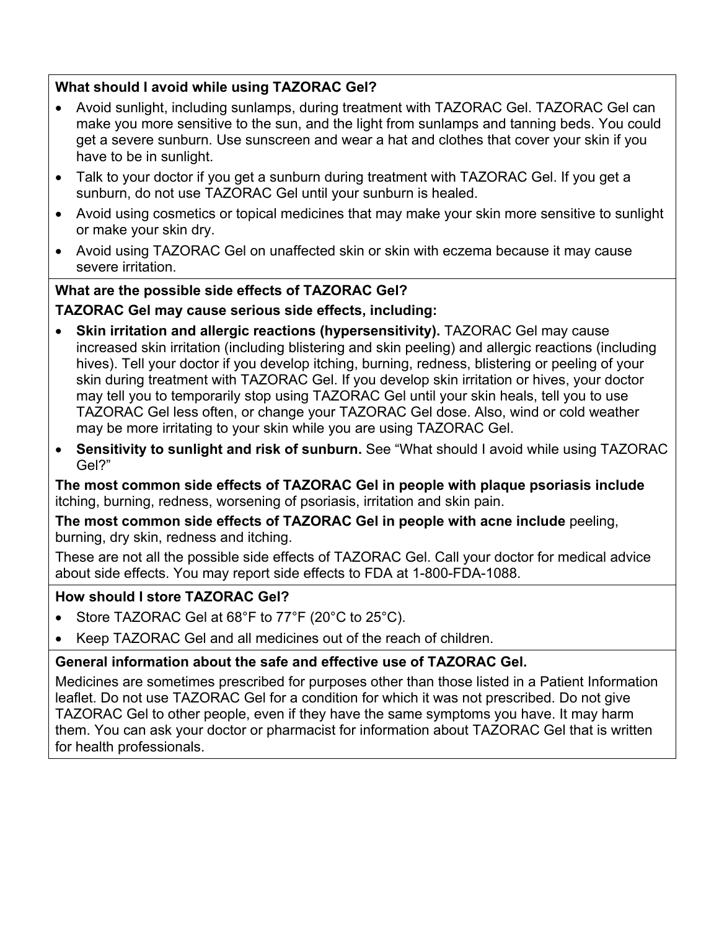## **What should I avoid while using TAZORAC Gel?**

- Avoid sunlight, including sunlamps, during treatment with TAZORAC Gel. TAZORAC Gel can make you more sensitive to the sun, and the light from sunlamps and tanning beds. You could get a severe sunburn. Use sunscreen and wear a hat and clothes that cover your skin if you have to be in sunlight.
- Talk to your doctor if you get a sunburn during treatment with TAZORAC Gel. If you get a sunburn, do not use TAZORAC Gel until your sunburn is healed.
- Avoid using cosmetics or topical medicines that may make your skin more sensitive to sunlight or make your skin dry.
- Avoid using TAZORAC Gel on unaffected skin or skin with eczema because it may cause severe irritation.

## **What are the possible side effects of TAZORAC Gel?**

## **TAZORAC Gel may cause serious side effects, including:**

- **Skin irritation and allergic reactions (hypersensitivity).** TAZORAC Gel may cause increased skin irritation (including blistering and skin peeling) and allergic reactions (including hives). Tell your doctor if you develop itching, burning, redness, blistering or peeling of your skin during treatment with TAZORAC Gel. If you develop skin irritation or hives, your doctor may tell you to temporarily stop using TAZORAC Gel until your skin heals, tell you to use TAZORAC Gel less often, or change your TAZORAC Gel dose. Also, wind or cold weather may be more irritating to your skin while you are using TAZORAC Gel.
- **Sensitivity to sunlight and risk of sunburn.** See "What should I avoid while using TAZORAC Gel?"

**The most common side effects of TAZORAC Gel in people with plaque psoriasis include**  itching, burning, redness, worsening of psoriasis, irritation and skin pain.

**The most common side effects of TAZORAC Gel in people with acne include** peeling, burning, dry skin, redness and itching.

These are not all the possible side effects of TAZORAC Gel. Call your doctor for medical advice about side effects. You may report side effects to FDA at 1-800-FDA-1088.

## **How should I store TAZORAC Gel?**

- Store TAZORAC Gel at 68°F to 77°F (20°C to 25°C).
- Keep TAZORAC Gel and all medicines out of the reach of children.

# **General information about the safe and effective use of TAZORAC Gel.**

Medicines are sometimes prescribed for purposes other than those listed in a Patient Information leaflet. Do not use TAZORAC Gel for a condition for which it was not prescribed. Do not give TAZORAC Gel to other people, even if they have the same symptoms you have. It may harm them. You can ask your doctor or pharmacist for information about TAZORAC Gel that is written for health professionals.